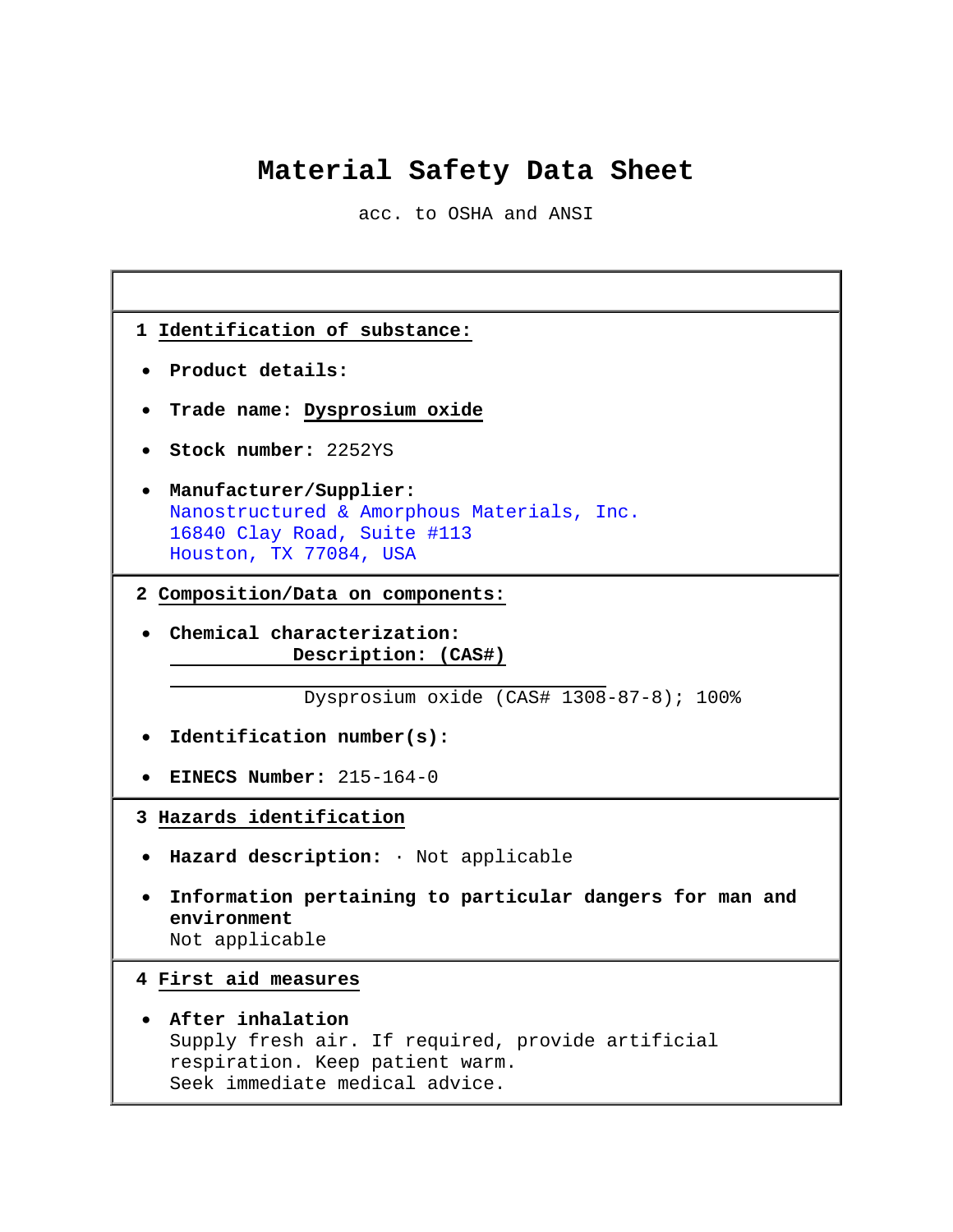# **Material Safety Data Sheet**

acc. to OSHA and ANSI

٦

Г

| 1 Identification of substance:                                                                                                             |  |  |
|--------------------------------------------------------------------------------------------------------------------------------------------|--|--|
| Product details:                                                                                                                           |  |  |
| • Trade name: Dysprosium oxide                                                                                                             |  |  |
| Stock number: 2252YS                                                                                                                       |  |  |
| • Manufacturer/Supplier:<br>Nanostructured & Amorphous Materials, Inc.<br>16840 Clay Road, Suite #113<br>Houston, TX 77084, USA            |  |  |
| 2 Composition/Data on components:                                                                                                          |  |  |
| Chemical characterization:<br>Description: (CAS#)                                                                                          |  |  |
| Dysprosium oxide (CAS# 1308-87-8); 100%                                                                                                    |  |  |
| Identification number(s):                                                                                                                  |  |  |
| EINECS Number: 215-164-0                                                                                                                   |  |  |
| 3 Hazards identification                                                                                                                   |  |  |
| · Hazard description: · Not applicable                                                                                                     |  |  |
| Information pertaining to particular dangers for man and<br>environment<br>Not applicable                                                  |  |  |
| 4 First aid measures                                                                                                                       |  |  |
| After inhalation<br>Supply fresh air. If required, provide artificial<br>respiration. Keep patient warm.<br>Seek immediate medical advice. |  |  |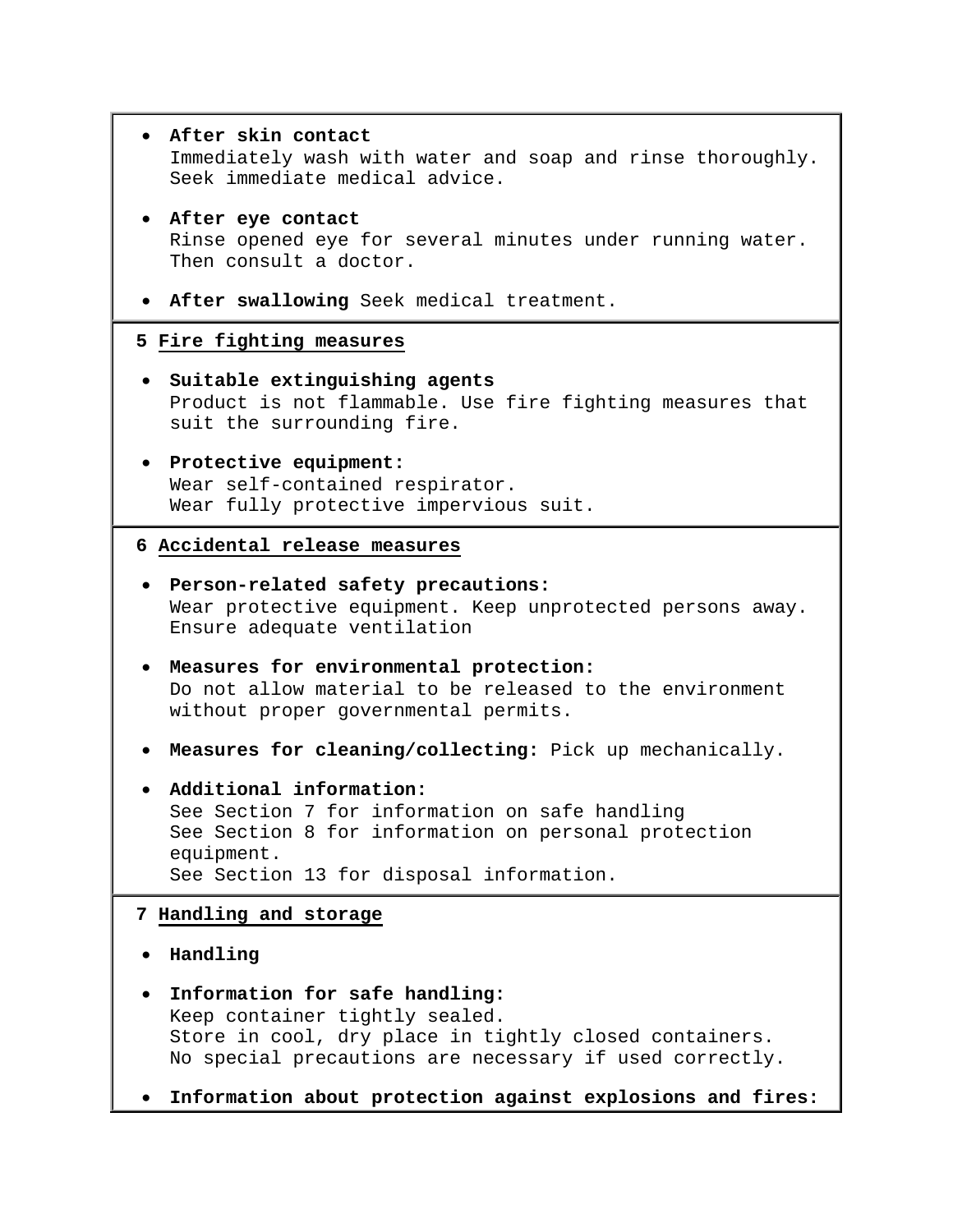| After skin contact<br>Immediately wash with water and soap and rinse thoroughly.<br>Seek immediate medical advice.                                                                                                                                  |
|-----------------------------------------------------------------------------------------------------------------------------------------------------------------------------------------------------------------------------------------------------|
| • After eye contact<br>Rinse opened eye for several minutes under running water.<br>Then consult a doctor.                                                                                                                                          |
| . After swallowing Seek medical treatment.                                                                                                                                                                                                          |
| 5 Fire fighting measures                                                                                                                                                                                                                            |
| Suitable extinguishing agents<br>Product is not flammable. Use fire fighting measures that<br>suit the surrounding fire.                                                                                                                            |
| Protective equipment:<br>Wear self-contained respirator.<br>Wear fully protective impervious suit.                                                                                                                                                  |
| 6 Accidental release measures                                                                                                                                                                                                                       |
| Person-related safety precautions:<br>Wear protective equipment. Keep unprotected persons away.<br>Ensure adequate ventilation                                                                                                                      |
| Measures for environmental protection:<br>Do not allow material to be released to the environment<br>without proper governmental permits.                                                                                                           |
| . Measures for cleaning/collecting: Pick up mechanically.                                                                                                                                                                                           |
| Additional information:<br>See Section 7 for information on safe handling<br>See Section 8 for information on personal protection<br>equipment.<br>See Section 13 for disposal information.                                                         |
| 7 Handling and storage                                                                                                                                                                                                                              |
| Handling                                                                                                                                                                                                                                            |
| Information for safe handling:<br>Keep container tightly sealed.<br>Store in cool, dry place in tightly closed containers.<br>No special precautions are necessary if used correctly.<br>Information about protection against explosions and fires: |
|                                                                                                                                                                                                                                                     |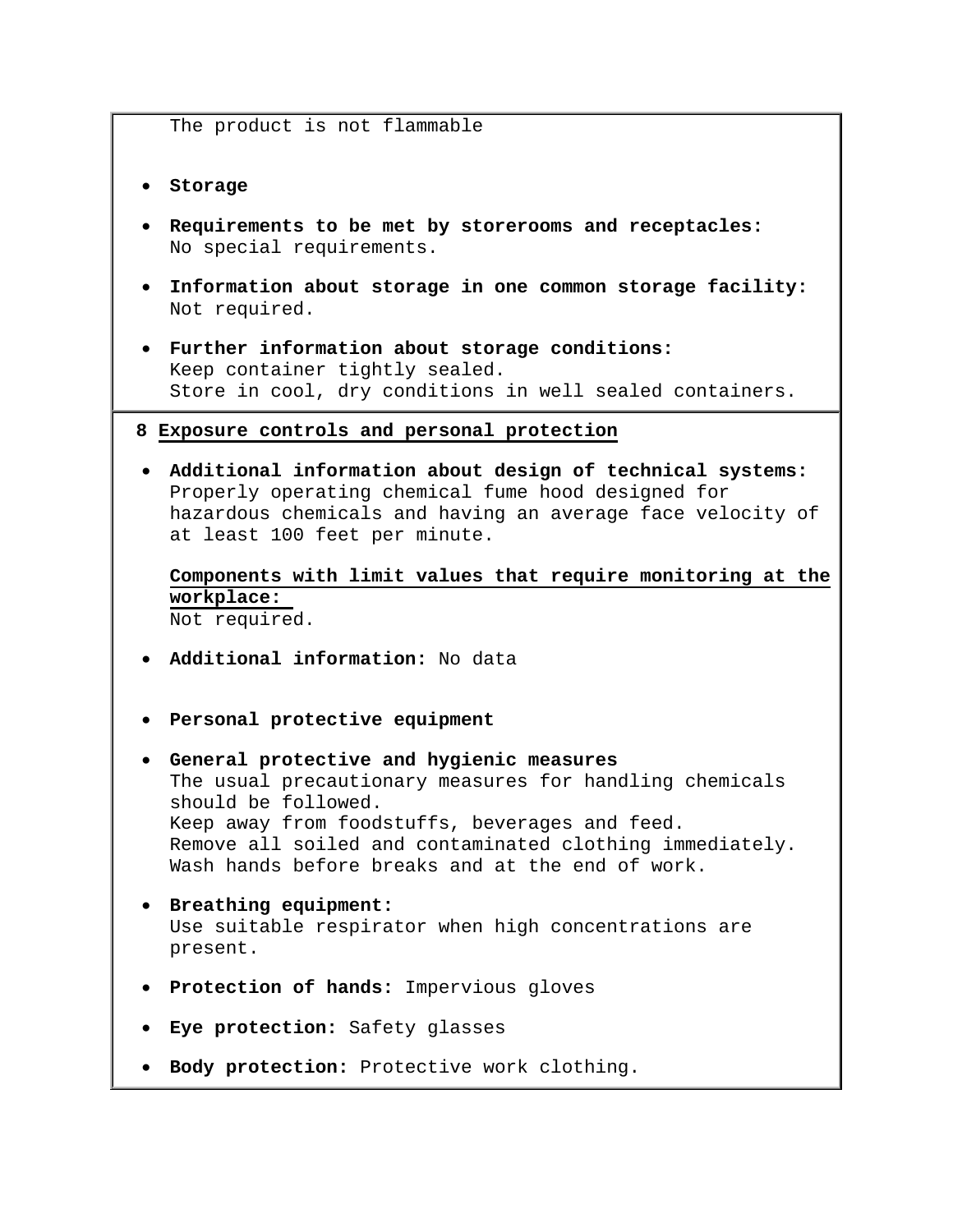The product is not flammable

- **Storage**
- **Requirements to be met by storerooms and receptacles:** No special requirements.
- **Information about storage in one common storage facility:** Not required.
- **Further information about storage conditions:** Keep container tightly sealed. Store in cool, dry conditions in well sealed containers.

#### **8 Exposure controls and personal protection**

• **Additional information about design of technical systems:** Properly operating chemical fume hood designed for hazardous chemicals and having an average face velocity of at least 100 feet per minute.

**Components with limit values that require monitoring at the workplace:**  Not required.

- **Additional information:** No data
- **Personal protective equipment**
- **General protective and hygienic measures** The usual precautionary measures for handling chemicals should be followed. Keep away from foodstuffs, beverages and feed. Remove all soiled and contaminated clothing immediately. Wash hands before breaks and at the end of work.
- **Breathing equipment:** Use suitable respirator when high concentrations are present.
- **Protection of hands:** Impervious gloves
- **Eye protection:** Safety glasses
- **Body protection:** Protective work clothing.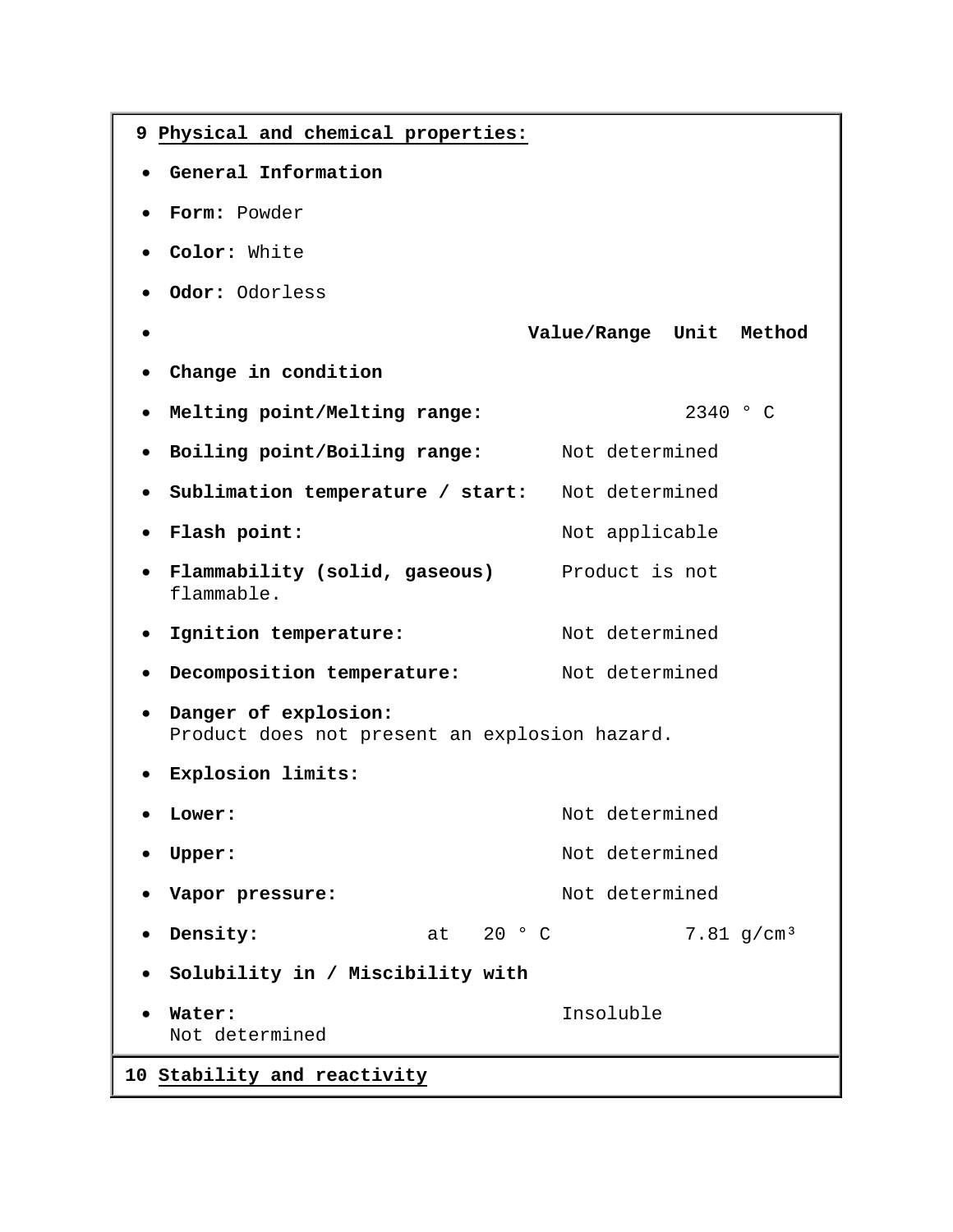| 9 Physical and chemical properties:                                                |                          |  |
|------------------------------------------------------------------------------------|--------------------------|--|
| General Information                                                                |                          |  |
| Form: Powder                                                                       |                          |  |
| Color: White                                                                       |                          |  |
| Odor: Odorless                                                                     |                          |  |
|                                                                                    | Value/Range Unit Method  |  |
| Change in condition                                                                |                          |  |
| Melting point/Melting range:                                                       | 2340 ° C                 |  |
| Boiling point/Boiling range:<br>$\bullet$                                          | Not determined           |  |
| Sublimation temperature / start:<br>$\bullet$                                      | Not determined           |  |
| Flash point:                                                                       | Not applicable           |  |
| Flammability (solid, gaseous)<br>flammable.                                        | Product is not           |  |
| Ignition temperature:<br>$\bullet$                                                 | Not determined           |  |
| Decomposition temperature:<br>$\bullet$                                            | Not determined           |  |
| Danger of explosion:<br>$\bullet$<br>Product does not present an explosion hazard. |                          |  |
| Explosion limits:                                                                  |                          |  |
| <b>Lower:</b>                                                                      | Not determined           |  |
| <b>Upper:</b>                                                                      | Not determined           |  |
| Vapor pressure:                                                                    | Not determined           |  |
| at 20 ° C<br>Density:                                                              | $7.81$ g/cm <sup>3</sup> |  |
| Solubility in / Miscibility with                                                   |                          |  |
| Water:<br>Not determined                                                           | Insoluble                |  |
| 10 Stability and reactivity                                                        |                          |  |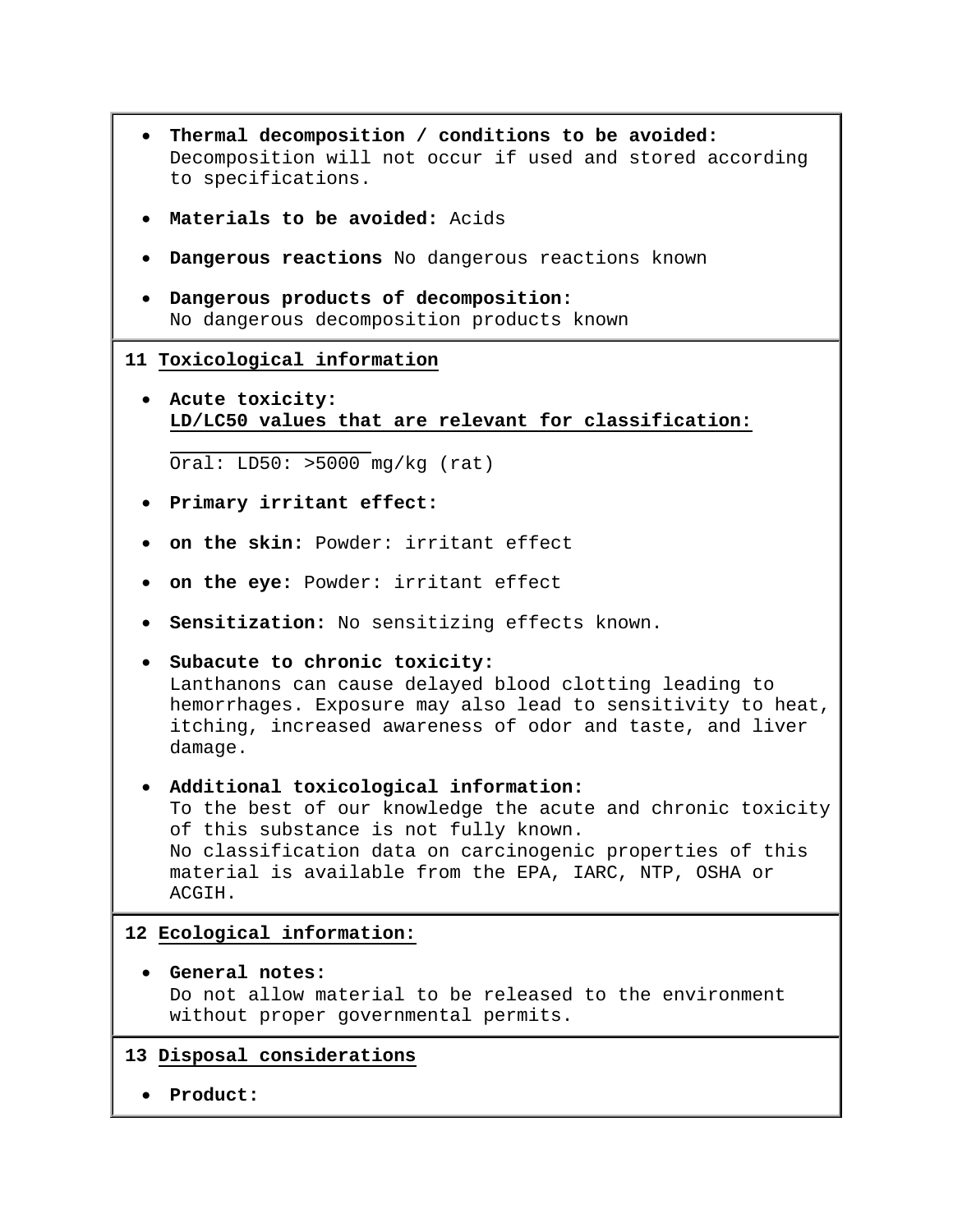- **Thermal decomposition / conditions to be avoided:** Decomposition will not occur if used and stored according to specifications.
- **Materials to be avoided:** Acids
- **Dangerous reactions** No dangerous reactions known
- **Dangerous products of decomposition:** No dangerous decomposition products known

### **11 Toxicological information**

• **Acute toxicity: LD/LC50 values that are relevant for classification:** 

Oral: LD50: >5000 mg/kg (rat)

- **Primary irritant effect:**
- **on the skin:** Powder: irritant effect
- **on the eye:** Powder: irritant effect
- **Sensitization:** No sensitizing effects known.
- **Subacute to chronic toxicity:** Lanthanons can cause delayed blood clotting leading to hemorrhages. Exposure may also lead to sensitivity to heat, itching, increased awareness of odor and taste, and liver damage.

# • **Additional toxicological information:** To the best of our knowledge the acute and chronic toxicity of this substance is not fully known. No classification data on carcinogenic properties of this material is available from the EPA, IARC, NTP, OSHA or ACGIH.

# **12 Ecological information:**

- **General notes:** Do not allow material to be released to the environment without proper governmental permits.
- **13 Disposal considerations**
	- **Product:**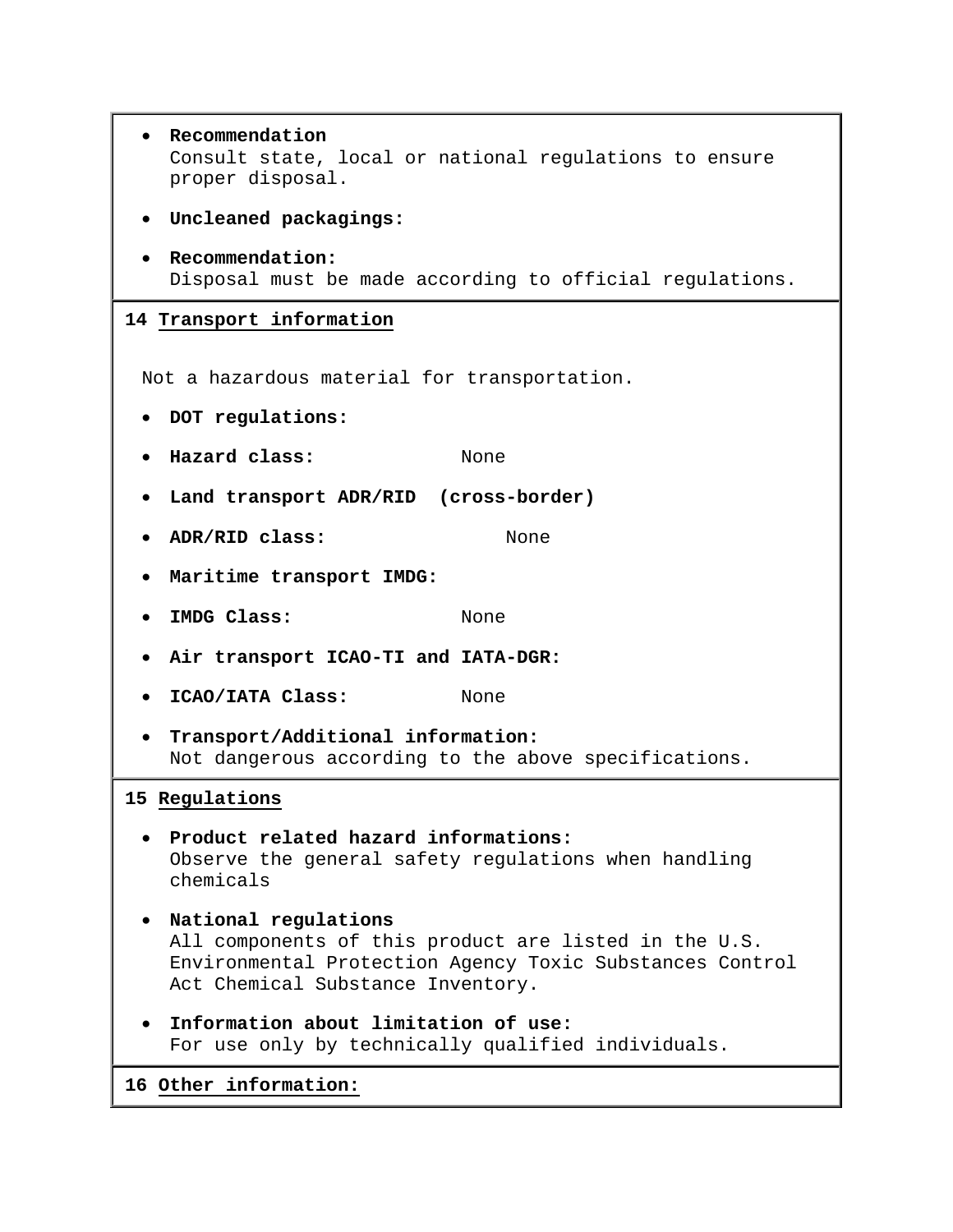• **Recommendation** Consult state, local or national regulations to ensure proper disposal. • **Uncleaned packagings:** • **Recommendation:** Disposal must be made according to official regulations. **14 Transport information** Not a hazardous material for transportation. • **DOT regulations:** • **Hazard class:** None • **Land transport ADR/RID (cross-border)** • **ADR/RID class:** None • **Maritime transport IMDG:** • **IMDG Class:** None • **Air transport ICAO-TI and IATA-DGR:** • **ICAO/IATA Class:** None • **Transport/Additional information:** Not dangerous according to the above specifications. **15 Regulations** • **Product related hazard informations:** Observe the general safety regulations when handling chemicals • **National regulations** All components of this product are listed in the U.S. Environmental Protection Agency Toxic Substances Control Act Chemical Substance Inventory. • **Information about limitation of use:** For use only by technically qualified individuals. **16 Other information:**